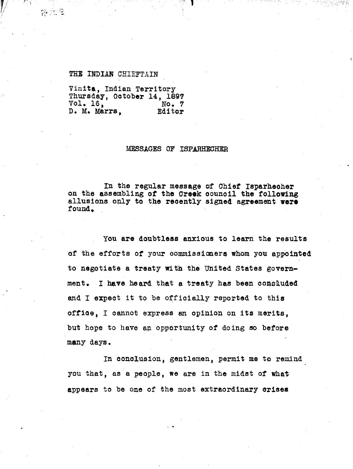#### THE INDIAN CHIEFTAIN

l.

Vinita, Indian Territory Thursday, October 14, 1897<br>Vol. 16. No. 7  $Vol. 16.$ D. M. Marrs, Editor

### MESSAGES OF ISPARHECHER

In the regular message of Chief Isparheoher on the assembling of the Creek council the following allusions only to the recently signed agreement were found.

you are doubtless anxious to learn the results of the efforts of your commissioners whom you appointed to negotiate a treaty with the United States govern ment. I have heard that a treaty has been concluded and I expect it to be officially reported to this office, I cannot express an opinion on its merits, but hope to have an opportunity of doing so before many days.

In conclusion, gentlemen, permit me to remind you that, as a people, we are in the midst of what appears to be one of the most extraordinary crises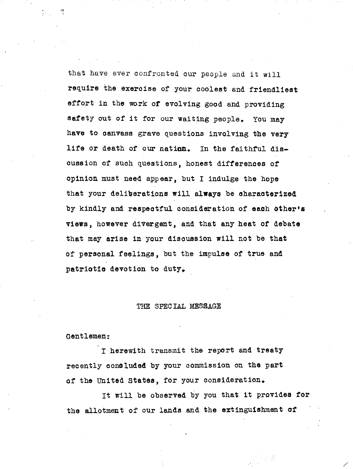that have ever confronted our people and it will require the exercise of your coolest and friendliest effort in the work of evolving good and providing safety out of it for our waiting people. You may have to canvass grave questions involving the very life or death of our nation. In the faithful discussion of such questions, honest differences of opinion must need appear, but I indulge the hope that your deliberations will always be characterized by kindly and respectful consideration of each other's views, however divergent, and that any heat of debate that may arise in your discussion will not be that of personal feelings, but the impulse of true and patriotic devotion to duty,

#### THE SPECIAL MESSAGE

Gentlemen:

I herewith transmit the report and treaty recently concluded by your commission on the part of the United States, for your consideration.

It will be observed by you that it provides for the allotment of our lands and the extinguishment of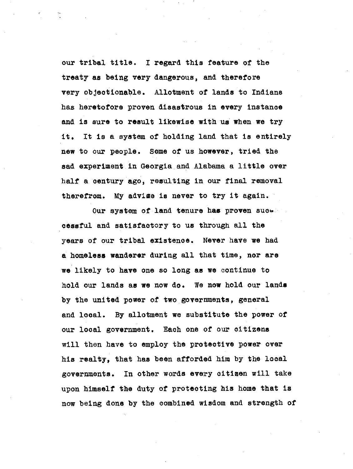our tribal title. I regard this feature of the treaty as being very dangerous, and therefore very objectionable. Allotment of lands to Indians has heretofore proven disastrous in every instance and is sure to result likewise with us when we try it. It is a system of holding land that is entirely new to our people. Some of us however, tried the sad experiment in Georgia and Alabama a little over half a century ago, resulting in our final removal therefrom. My advise is never to try it again.

Our system of land tenure has proven such cessful and satisfactory to us through all the years of our tribal existence. Never have we had a homeless wanderer during all that time, nor are we likely to have one so long as we continue to hold our lands as we now do. We now hold our lands by the united power of two governments, general and local. By allotment we substitute the power of our local government. Each one of our citizens will then have to employ the protective power over his realty, that has been afforded him by the local governments. In other words every citizen will take upon himself the duty of protecting his home that is now being done by the combined wisdom and strength of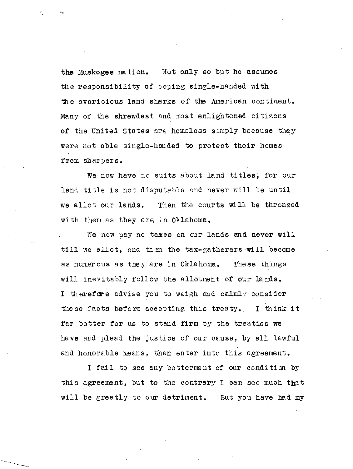the Muskogee nation. Not only so but he assumes the responsibility of coping single-handed with the avaricious land sharks of the American continent. Many of the shrewdest and most enlightened citizens of the United States are homeless simply because they were not able single-handed to protect their homes from sharpers.

We now have no suits about land titles, for our land title is not disputable and never will be until we allot our lands. Then the courts will be thronged with them as they are in Oklahoma.

We now pay no taxes on our lands and never will till we allot, and then the tax-gatherers will become as numerous as they are in Oklahoma. These things will inevitably follow the allotment of our lands. I therefore advise you to weigh and calmly consider these facts before accepting this treaty. I think it far better for us to stand firm by the treaties we have and plead the justice of our cause, by all lawful and honorable means, than enter into this agreement.

I fail to see any betterment of our condition by this agreement, but to the contrary I can see much that will be greatly to our detriment. But you have had my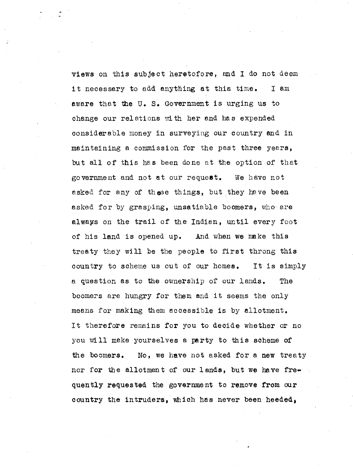views on this subject heretofore, and I do not deem it necessary to add anything at this time. I am aware that the U. S. Government is urging us to change our relations with her and has expended considerable money in surveying our country and in maintaining a commission for the past three years, but all of this has been done at the option of that government and not at our request. We have not asked for any of these things, but they have been asked for by grasping, unsatiable boomers, who are always on the trail of the Indian, until every foot of his land is opened up. And when we make this treaty they will be the people to first throng this country to scheme us out of our homes. It is simply a question as to the ownership of our lands. The boomers are hungry for them and it seems the only means for making them accessible is by allotment. It therefore remains for you to decide whether or no you will make yourselves a party to this scheme of the boomers. No, we have not asked for a new treaty nor for the allotment of our lands, but we have frequently requested the government to remove from our country the intruders, which has never been heeded,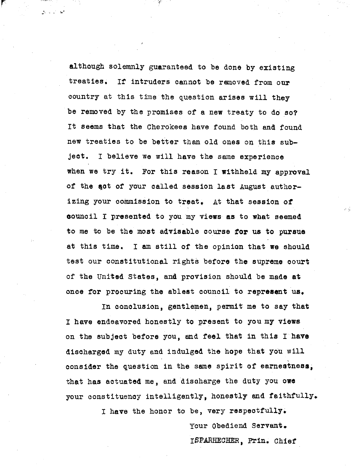although solemnly guaranteed to be done by existing treaties, If intruders cannot be removed from our country at this time the question arises will they be removed by the promises of a new treaty to do so? It seems that the Cherokees have found both and found new treaties to be better than old ones on this subject. I believe we will have the same experience when we try it. For this reason I withheld my approval of the act of your called session last August authorizing your commission to treat, At that session of council I presented to you my views as to what seemed to me to be the most advisable course for us to pursue at this time. I am still of the opinion that we should test our constitutional rights before the supreme court of the United States, and provision should be made at once for procuring the ablest council to represent us.

r

اف الراباني

In conclusion, gentlemen, permit me to say that I have endeavored honestly to present to you my views on the subject before you, and feel that in this I have discharged my duty and indulged the hope that you will consider the question in the same spirit of earnestness, that has actuated me, and discharge the duty you owe your constituency intelligently, honestly and faithfully.

I have the honor to be, very respectfully.

Your Obediend Servant. I\$PARHECHER, Prin. Chief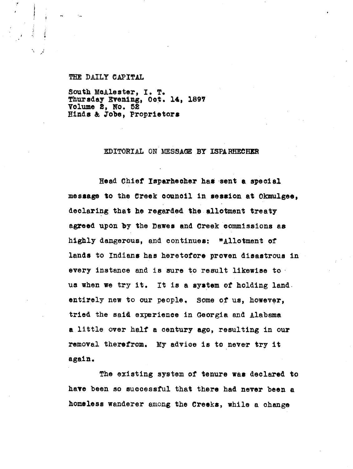## THE DAILY CAPITAL

*M*

South. McAlester, I. T. Thursday Evening, Oct. 14, 1897 Volume 8, **No. 58** Hinds & Jobe, Proprietors

# EDITORIAL ON MESSAGE BY ISPARHECHER

Head Chief Isperhecher has sent a special message to the Creek council in session at Okmulgee, declaring that he regarded the allotment treaty agreed upon by the Dawes and Creek commissions as highly dangerous, and continues: "Allotment of lands to Indians has heretofore proven disastrous in every instance and is sure to result likewise to us when we try it. It is a system of holding land. entirely new to our people. Some of us, however, tried the said experience in Georgia and Alabama a little over half a century ago, resulting in our removal therefrom. My advice is to never try it again.

The existing system of tenure was declared to have been so successful that there had never been a homeless wanderer among the Creeks, while a change